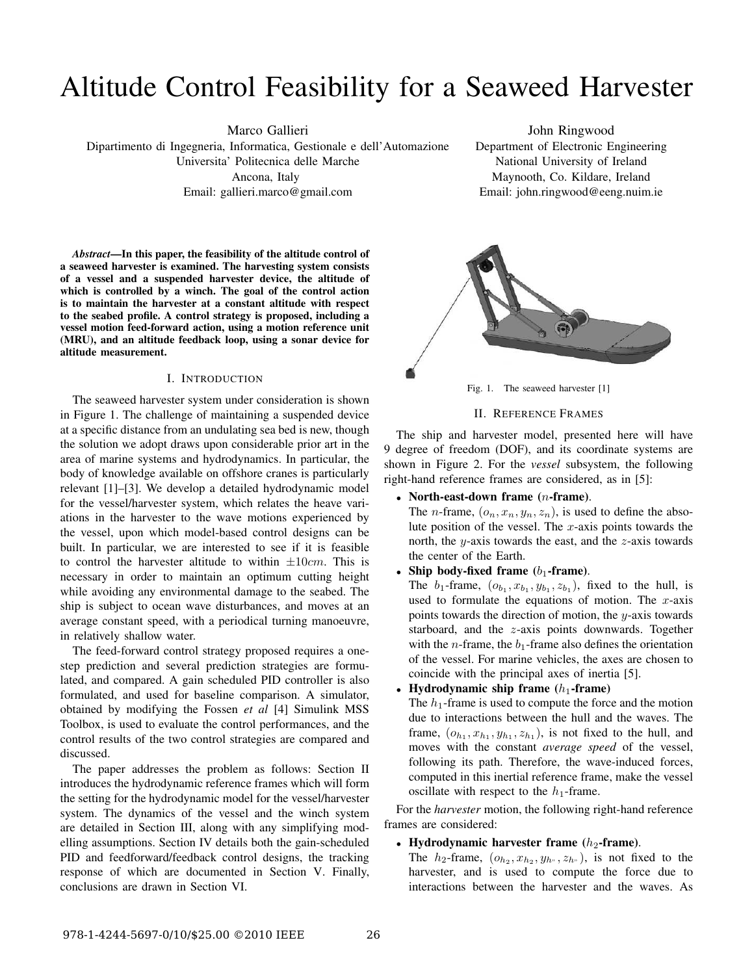# Altitude Control Feasibility for a Seaweed Harvester

Marco Gallieri

Dipartimento di Ingegneria, Informatica, Gestionale e dell'Automazione Universita' Politecnica delle Marche Ancona, Italy Email: gallieri.marco@gmail.com

John Ringwood Department of Electronic Engineering National University of Ireland Maynooth, Co. Kildare, Ireland Email: john.ringwood@eeng.nuim.ie

*Abstract***—In this paper, the feasibility of the altitude control of a seaweed harvester is examined. The harvesting system consists of a vessel and a suspended harvester device, the altitude of which is controlled by a winch. The goal of the control action is to maintain the harvester at a constant altitude with respect to the seabed profile. A control strategy is proposed, including a vessel motion feed-forward action, using a motion reference unit (MRU), and an altitude feedback loop, using a sonar device for altitude measurement.**

#### I. INTRODUCTION

The seaweed harvester system under consideration is shown in Figure 1. The challenge of maintaining a suspended device at a specific distance from an undulating sea bed is new, though the solution we adopt draws upon considerable prior art in the area of marine systems and hydrodynamics. In particular, the body of knowledge available on offshore cranes is particularly relevant [1]–[3]. We develop a detailed hydrodynamic model for the vessel/harvester system, which relates the heave variations in the harvester to the wave motions experienced by the vessel, upon which model-based control designs can be built. In particular, we are interested to see if it is feasible to control the harvester altitude to within  $\pm 10$ cm. This is necessary in order to maintain an optimum cutting height while avoiding any environmental damage to the seabed. The ship is subject to ocean wave disturbances, and moves at an average constant speed, with a periodical turning manoeuvre, in relatively shallow water.

The feed-forward control strategy proposed requires a onestep prediction and several prediction strategies are formulated, and compared. A gain scheduled PID controller is also formulated, and used for baseline comparison. A simulator, obtained by modifying the Fossen *et al* [4] Simulink MSS Toolbox, is used to evaluate the control performances, and the control results of the two control strategies are compared and discussed.

The paper addresses the problem as follows: Section II introduces the hydrodynamic reference frames which will form the setting for the hydrodynamic model for the vessel/harvester system. The dynamics of the vessel and the winch system are detailed in Section III, along with any simplifying modelling assumptions. Section IV details both the gain-scheduled PID and feedforward/feedback control designs, the tracking response of which are documented in Section V. Finally, conclusions are drawn in Section VI.



Fig. 1. The seaweed harvester [1]

## II. REFERENCE FRAMES

The ship and harvester model, presented here will have 9 degree of freedom (DOF), and its coordinate systems are shown in Figure 2. For the *vessel* subsystem, the following right-hand reference frames are considered, as in [5]:

<sup>∙</sup> **North-east-down frame (-frame)**.

The *n*-frame,  $(o_n, x_n, y_n, z_n)$ , is used to define the absolute position of the vessel. The  $x$ -axis points towards the north, the  $y$ -axis towards the east, and the  $z$ -axis towards the center of the Earth.

<sup>∙</sup> **Ship body-fixed frame (**1**-frame)**.

The  $b_1$ -frame,  $(o_{b_1}, x_{b_1}, y_{b_1}, z_{b_1})$ , fixed to the hull, is used to formulate the equations of motion. The  $x$ -axis points towards the direction of motion, the  $y$ -axis towards starboard, and the  $z$ -axis points downwards. Together with the *n*-frame, the  $b_1$ -frame also defines the orientation of the vessel. For marine vehicles, the axes are chosen to coincide with the principal axes of inertia [5].

<sup>∙</sup> **Hydrodynamic ship frame (**ℎ1**-frame)**

The  $h_1$ -frame is used to compute the force and the motion due to interactions between the hull and the waves. The frame,  $(o_{h_1}, x_{h_1}, y_{h_1}, z_{h_1})$ , is not fixed to the hull, and moves with the constant *average speed* of the vessel, following its path. Therefore, the wave-induced forces, computed in this inertial reference frame, make the vessel oscillate with respect to the  $h_1$ -frame.

For the *harvester* motion, the following right-hand reference frames are considered:

<sup>∙</sup> **Hydrodynamic harvester frame (**ℎ2**-frame)**.

The  $h_2$ -frame,  $(o_{h_2}, x_{h_2}, y_{h_1}, z_{h_1})$ , is not fixed to the harvester, and is used to compute the force due to interactions between the harvester and the waves. As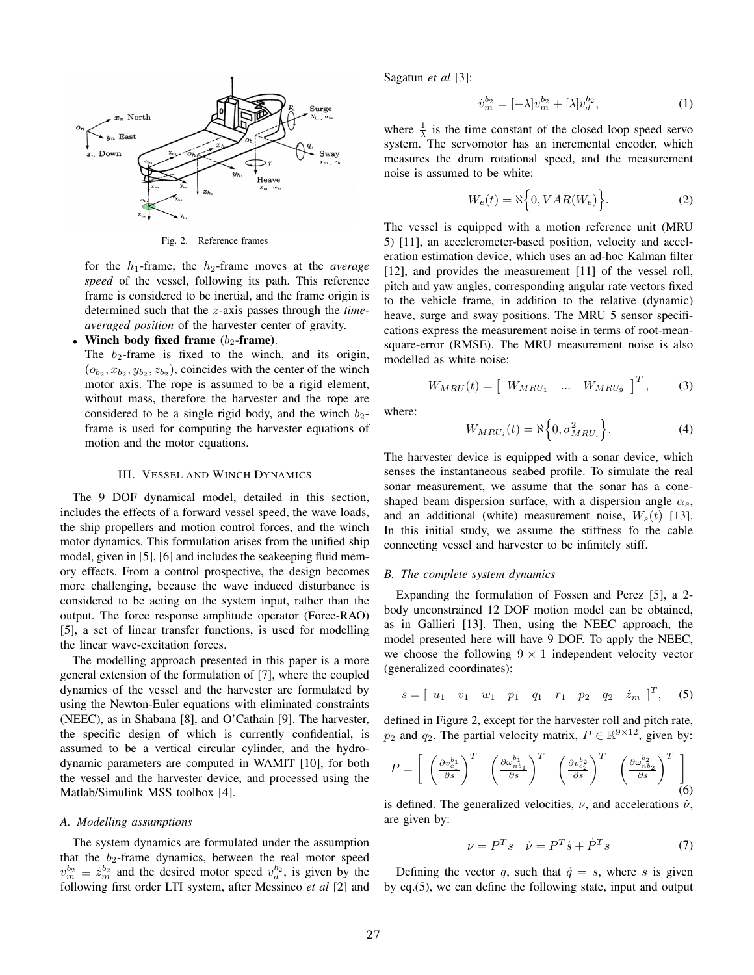

Fig. 2. Reference frames

for the ℎ1-frame, the ℎ2-frame moves at the *average speed* of the vessel, following its path. This reference frame is considered to be inertial, and the frame origin is determined such that the *z*-axis passes through the *timeaveraged position* of the harvester center of gravity.

## <sup>∙</sup> **Winch body fixed frame (**2**-frame)**.

The  $b_2$ -frame is fixed to the winch, and its origin,  $(o_{b_2}, x_{b_2}, y_{b_2}, z_{b_2})$ , coincides with the center of the winch motor axis. The rope is assumed to be a rigid element, without mass, therefore the harvester and the rope are considered to be a single rigid body, and the winch  $b_2$ frame is used for computing the harvester equations of motion and the motor equations.

#### III. VESSEL AND WINCH DYNAMICS

The 9 DOF dynamical model, detailed in this section, includes the effects of a forward vessel speed, the wave loads, the ship propellers and motion control forces, and the winch motor dynamics. This formulation arises from the unified ship model, given in [5], [6] and includes the seakeeping fluid memory effects. From a control prospective, the design becomes more challenging, because the wave induced disturbance is considered to be acting on the system input, rather than the output. The force response amplitude operator (Force-RAO) [5], a set of linear transfer functions, is used for modelling the linear wave-excitation forces.

The modelling approach presented in this paper is a more general extension of the formulation of [7], where the coupled dynamics of the vessel and the harvester are formulated by using the Newton-Euler equations with eliminated constraints (NEEC), as in Shabana [8], and O'Cathain [9]. The harvester, the specific design of which is currently confidential, is assumed to be a vertical circular cylinder, and the hydrodynamic parameters are computed in WAMIT [10], for both the vessel and the harvester device, and processed using the Matlab/Simulink MSS toolbox [4].

#### *A. Modelling assumptions*

The system dynamics are formulated under the assumption that the  $b_2$ -frame dynamics, between the real motor speed  $v_m^{b_2} \equiv \dot{z}_m^{b_2}$  and the desired motor speed  $v_d^{b_2}$ , is given by the following first order LTI system, after Messineo *et al* [2] and Sagatun *et al* [3]:

$$
\dot{v}_m^{b_2} = [-\lambda]v_m^{b_2} + [\lambda]v_d^{b_2},\tag{1}
$$

where  $\frac{1}{\lambda}$  is the time constant of the closed loop speed servo system. The servomotor has an incremental encoder, which measures the drum rotational speed, and the measurement noise is assumed to be white:

$$
W_e(t) = \aleph \Big\{ 0, VAR(W_e) \Big\}.
$$
 (2)

The vessel is equipped with a motion reference unit (MRU 5) [11], an accelerometer-based position, velocity and acceleration estimation device, which uses an ad-hoc Kalman filter [12], and provides the measurement [11] of the vessel roll, pitch and yaw angles, corresponding angular rate vectors fixed to the vehicle frame, in addition to the relative (dynamic) heave, surge and sway positions. The MRU 5 sensor specifications express the measurement noise in terms of root-meansquare-error (RMSE). The MRU measurement noise is also modelled as white noise:

$$
W_{MRU}(t) = \begin{bmatrix} W_{MRU_1} & \dots & W_{MRU_9} \end{bmatrix}^T, \quad (3)
$$

where:

$$
W_{MRU_i}(t) = \aleph \Big\{ 0, \sigma_{MRU_i}^2 \Big\}.
$$
 (4)

The harvester device is equipped with a sonar device, which senses the instantaneous seabed profile. To simulate the real sonar measurement, we assume that the sonar has a coneshaped beam dispersion surface, with a dispersion angle  $\alpha_s$ , and an additional (white) measurement noise,  $W_s(t)$  [13]. In this initial study, we assume the stiffness fo the cable connecting vessel and harvester to be infinitely stiff.

#### *B. The complete system dynamics*

Expanding the formulation of Fossen and Perez [5], a 2 body unconstrained 12 DOF motion model can be obtained, as in Gallieri [13]. Then, using the NEEC approach, the model presented here will have 9 DOF. To apply the NEEC, we choose the following  $9 \times 1$  independent velocity vector (generalized coordinates):

$$
s = [u_1 \quad v_1 \quad w_1 \quad p_1 \quad q_1 \quad r_1 \quad p_2 \quad q_2 \quad \dot{z}_m]^{T}, \quad (5)
$$

defined in Figure 2, except for the harvester roll and pitch rate,  $p_2$  and  $q_2$ . The partial velocity matrix,  $P \in \mathbb{R}^{9 \times 12}$ , given by:

$$
P = \left[ \begin{array}{cc} \left( \frac{\partial v_{c_1}^{b_1}}{\partial s} \right)^T & \left( \frac{\partial \omega_{nb_1}^{b_1}}{\partial s} \right)^T & \left( \frac{\partial v_{c_2}^{b_2}}{\partial s} \right)^T & \left( \frac{\partial \omega_{nb_2}^{b_2}}{\partial s} \right)^T \end{array} \right] \tag{6}
$$

is defined. The generalized velocities,  $\nu$ , and accelerations  $\dot{\nu}$ , are given by:

$$
\nu = P^T s \quad \dot{\nu} = P^T \dot{s} + \dot{P}^T s \tag{7}
$$

Defining the vector q, such that  $\dot{q} = s$ , where s is given by eq.(5), we can define the following state, input and output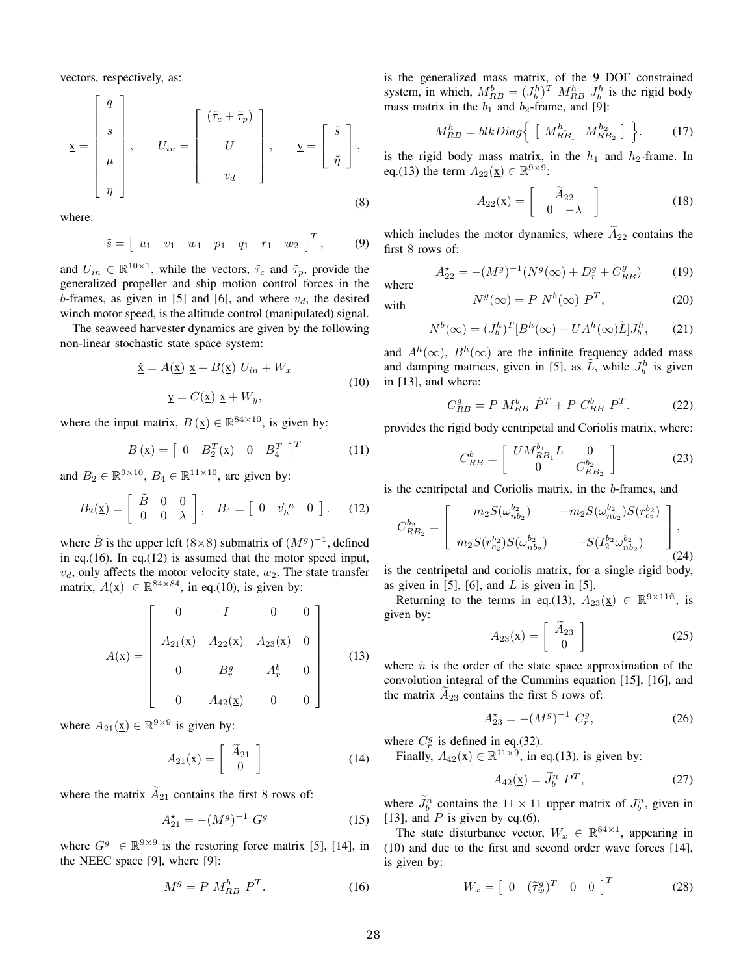vectors, respectively, as:

$$
\underline{\mathbf{x}} = \begin{bmatrix} q \\ s \\ \mu \\ \eta \end{bmatrix}, \qquad U_{in} = \begin{bmatrix} (\tilde{\tau}_c + \tilde{\tau}_p) \\ U \\ v_d \end{bmatrix}, \qquad \underline{\mathbf{y}} = \begin{bmatrix} \tilde{s} \\ \tilde{\eta} \end{bmatrix},
$$
\n(8)

where:

$$
\tilde{s} = [u_1 \ v_1 \ w_1 \ p_1 \ q_1 \ r_1 \ w_2]^T
$$
, (9)

and  $U_{in} \in \mathbb{R}^{10 \times 1}$ , while the vectors,  $\tilde{\tau}_c$  and  $\tilde{\tau}_p$ , provide the generalized propeller and ship motion control forces in the b-frames, as given in [5] and [6], and where  $v_d$ , the desired winch motor speed, is the altitude control (manipulated) signal.

The seaweed harvester dynamics are given by the following non-linear stochastic state space system:

$$
\dot{\underline{\mathbf{x}}} = A(\underline{\mathbf{x}}) \underline{\mathbf{x}} + B(\underline{\mathbf{x}}) U_{in} + W_x
$$
  

$$
\underline{\mathbf{y}} = C(\underline{\mathbf{x}}) \underline{\mathbf{x}} + W_y,
$$
 (10)

where the input matrix,  $B(\underline{x}) \in \mathbb{R}^{84 \times 10}$ , is given by:

$$
B(\underline{x}) = \begin{bmatrix} 0 & B_2^T(\underline{x}) & 0 & B_4^T \end{bmatrix}^T \tag{11}
$$

and  $B_2 \in \mathbb{R}^{9 \times 10}$ ,  $B_4 \in \mathbb{R}^{11 \times 10}$ , are given by:

$$
B_2(\underline{x}) = \begin{bmatrix} \tilde{B} & 0 & 0 \\ 0 & 0 & \lambda \end{bmatrix}, \quad B_4 = \begin{bmatrix} 0 & \tilde{v}_h^{n} & 0 \end{bmatrix}. \tag{12}
$$

where  $\hat{B}$  is the upper left (8×8) submatrix of  $(M<sup>g</sup>)^{-1}$ , defined in eq.(16). In eq.(12) is assumed that the motor speed input,  $v_d$ , only affects the motor velocity state,  $w_2$ . The state transfer matrix,  $A(\underline{x}) \in \mathbb{R}^{84 \times 84}$ , in eq.(10), is given by:

$$
A(\underline{x}) = \begin{bmatrix} 0 & I & 0 & 0 \\ A_{21}(\underline{x}) & A_{22}(\underline{x}) & A_{23}(\underline{x}) & 0 \\ 0 & B_r^g & A_r^b & 0 \\ 0 & A_{42}(\underline{x}) & 0 & 0 \end{bmatrix}
$$
(13)

where  $A_{21}(\mathbf{x}) \in \mathbb{R}^{9 \times 9}$  is given by:

$$
A_{21}(\underline{\mathbf{x}}) = \begin{bmatrix} \widetilde{A}_{21} \\ 0 \end{bmatrix} \tag{14}
$$

where the matrix  $\tilde{A}_{21}$  contains the first 8 rows of:

$$
A_{21}^* = -(M^g)^{-1} G^g \tag{15}
$$

where  $G^g \in \mathbb{R}^{9 \times 9}$  is the restoring force matrix [5], [14], in the NEEC space [9], where [9]:

$$
M^g = P M_{RB}^b P^T. \tag{16}
$$

is the generalized mass matrix, of the 9 DOF constrained system, in which,  $M_{RB}^b = (J_b^h)^T M_{RB}^h J_b^h$  is the rigid body mass matrix in the  $b_1$  and  $b_2$ -frame, and [9]:

$$
M_{RB}^h = blkDiag\Big\{ \begin{bmatrix} M_{RB_1}^{h_1} & M_{RB_2}^{h_2} \end{bmatrix} \Big\}. \tag{17}
$$

is the rigid body mass matrix, in the  $h_1$  and  $h_2$ -frame. In eq.(13) the term  $A_{22}(\underline{x}) \in \mathbb{R}^{9 \times 9}$ :

$$
A_{22}(\underline{x}) = \begin{bmatrix} \widetilde{A}_{22} \\ 0 & -\lambda \end{bmatrix}
$$
 (18)

which includes the motor dynamics, where  $\widetilde{A}_{22}$  contains the first 8 rows of:

$$
A_{22}^* = -(M^g)^{-1}(N^g(\infty) + D_r^g + C_{RB}^g)
$$
 (19)

where

with 
$$
N^g(\infty) = P N^b(\infty) P^T,
$$
 (20)

$$
N^{b}(\infty) = (J_b^h)^T [B^h(\infty) + UA^h(\infty)\tilde{L}]J_b^h, \qquad (21)
$$

and  $A^h(\infty)$ ,  $B^h(\infty)$  are the infinite frequency added mass and damping matrices, given in [5], as  $\tilde{L}$ , while  $J_b^h$  is given in [13], and where:

$$
C_{RB}^{g} = P M_{RB}^{b} \dot{P}^{T} + P C_{RB}^{b} P^{T}.
$$
 (22)

provides the rigid body centripetal and Coriolis matrix, where:

$$
C_{RB}^{b} = \begin{bmatrix} U M_{RB_1}^{b_1} L & 0\\ 0 & C_{RB_2}^{b_2} \end{bmatrix}
$$
 (23)

is the centripetal and Coriolis matrix, in the  $b$ -frames, and

$$
C_{RB_2}^{b_2} = \begin{bmatrix} m_2 S(\omega_{nb_2}^{b_2}) & -m_2 S(\omega_{nb_2}^{b_2}) S(r_{c_2}^{b_2}) \\ m_2 S(r_{c_2}^{b_2}) S(\omega_{nb_2}^{b_2}) & -S(I_2^{b_2} \omega_{nb_2}^{b_2}) \end{bmatrix},
$$
\n(24)

is the centripetal and coriolis matrix, for a single rigid body, as given in [5], [6], and  $L$  is given in [5].

Returning to the terms in eq.(13),  $A_{23}(\mathbf{x}) \in \mathbb{R}^{9 \times 11\tilde{n}}$ , is given by:

$$
A_{23}(\underline{x}) = \begin{bmatrix} \widetilde{A}_{23} \\ 0 \end{bmatrix}
$$
 (25)

where  $\tilde{n}$  is the order of the state space approximation of the convolution integral of the Cummins equation [15], [16], and the matrix  $A_{23}$  contains the first 8 rows of:

$$
A_{23}^* = -(M^g)^{-1} C_r^g,\tag{26}
$$

where  $C_r^g$  is defined in eq.(32).

Finally,  $A_{42}(\mathbf{x}) \in \mathbb{R}^{11 \times 9}$ , in eq.(13), is given by:

$$
A_{42}(\underline{x}) = \widetilde{J}_b^n \ P^T,\tag{27}
$$

where  $\tilde{J}_b^n$  contains the  $11 \times 11$  upper matrix of  $J_b^n$ , given in [13], and  $P$  is given by eq.(6).

The state disturbance vector,  $W_x \in \mathbb{R}^{84 \times 1}$ , appearing in (10) and due to the first and second order wave forces [14], is given by:

$$
W_x = \begin{bmatrix} 0 & (\tilde{\tau}_w^g)^T & 0 & 0 \end{bmatrix}^T \tag{28}
$$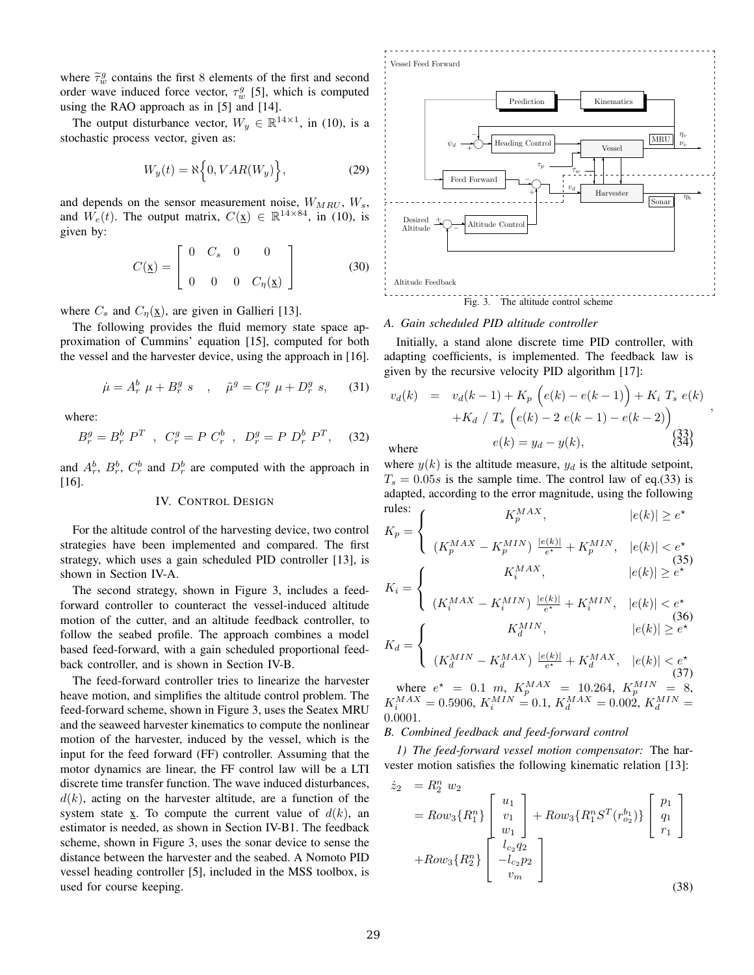where  $\tilde{\tau}_w^g$  contains the first 8 elements of the first and second order wave induced force vector,  $\tau_w^g$  [5], which is computed using the RAO approach as in [5] and [14].

The output disturbance vector,  $W_y \in \mathbb{R}^{14 \times 1}$ , in (10), is a stochastic process vector, given as:

$$
W_y(t) = \aleph \Big\{ 0, VAR(W_y) \Big\},\tag{29}
$$

and depends on the sensor measurement noise,  $W_{MRU}$ ,  $W_s$ , and  $W_e(t)$ . The output matrix,  $C(\underline{x}) \in \mathbb{R}^{14 \times 84}$ , in (10), is given by:

$$
C(\underline{x}) = \begin{bmatrix} 0 & C_s & 0 & 0 \\ 0 & 0 & 0 & C_{\eta}(\underline{x}) \end{bmatrix}
$$
 (30)

where  $C_s$  and  $C_\eta(\underline{x})$ , are given in Gallieri [13].

The following provides the fluid memory state space approximation of Cummins' equation [15], computed for both the vessel and the harvester device, using the approach in [16].

$$
\dot{\mu} = A_r^b \ \mu + B_r^g \ s \quad , \quad \tilde{\mu}^g = C_r^g \ \mu + D_r^g \ s, \tag{31}
$$

where:

$$
B_r^g = B_r^b \ P^T \quad , \quad C_r^g = P \ C_r^b \quad , \quad D_r^g = P \ D_r^b \ P^T, \tag{32}
$$

and  $A_r^b$ ,  $B_r^b$ ,  $C_r^b$  and  $D_r^b$  are computed with the approach in [16].

## IV. CONTROL DESIGN

For the altitude control of the harvesting device, two control strategies have been implemented and compared. The first strategy, which uses a gain scheduled PID controller [13], is shown in Section IV-A.

The second strategy, shown in Figure 3, includes a feedforward controller to counteract the vessel-induced altitude motion of the cutter, and an altitude feedback controller, to follow the seabed profile. The approach combines a model based feed-forward, with a gain scheduled proportional feedback controller, and is shown in Section IV-B.

The feed-forward controller tries to linearize the harvester heave motion, and simplifies the altitude control problem. The feed-forward scheme, shown in Figure 3, uses the Seatex MRU and the seaweed harvester kinematics to compute the nonlinear motion of the harvester, induced by the vessel, which is the input for the feed forward (FF) controller. Assuming that the motor dynamics are linear, the FF control law will be a LTI discrete time transfer function. The wave induced disturbances,  $d(k)$ , acting on the harvester altitude, are a function of the system state x. To compute the current value of  $d(k)$ , an estimator is needed, as shown in Section IV-B1. The feedback scheme, shown in Figure 3, uses the sonar device to sense the distance between the harvester and the seabed. A Nomoto PID vessel heading controller [5], included in the MSS toolbox, is used for course keeping.



#### *A. Gain scheduled PID altitude controller*

Initially, a stand alone discrete time PID controller, with adapting coefficients, is implemented. The feedback law is given by the recursive velocity PID algorithm [17]:

$$
v_d(k) = v_d(k-1) + K_p(e(k) - e(k-1)) + K_i T_s e(k)
$$
  
+K\_d / T\_s(e(k) - 2 e(k-1) - e(k-2))  

$$
e(k) = y_d - y(k),
$$
 (33)

where  $y(k)$  is the altitude measure,  $y_d$  is the altitude setpoint,  $T_s = 0.05s$  is the sample time. The control law of eq.(33) is adapted, according to the error magnitude, using the following rules:

rules:  
\n
$$
K_p = \begin{cases}\nK_p^{MAX}, & |e(k)| \ge e^{\star} \\
(K_p^{MAX} - K_p^{MIN}) \frac{|e(k)|}{e^{\star}} + K_p^{MIN}, & |e(k)| < e^{\star} \\
(35) & |e(k)| \ge e^{\star}\n\end{cases}
$$
\n
$$
K_i^{MAX}, \qquad |e(k)| \ge e^{\star}
$$

$$
K_i = \begin{cases} \n\left(K_i^{MAX} - K_i^{MIN}\right) \xrightarrow{\lvert e(k) \rvert} + K_i^{MIN}, & |e(k)| < e^{\star} \\
K_d = \n\begin{cases} \nK_d^{MIN}, & |e(k)| \ge e^{\star} \\
(K_d^{MIN} - K_d^{MAX}) \xrightarrow{\lvert e(k) \rvert} + K_d^{MAX}, & |e(k)| < e^{\star} \\
(37)\n\end{cases} \n\end{cases}
$$

where  $e^* = 0.1$  m,  $K_p^{MAX} = 10.264$ ,  $K_p^{MIN} = 8$ ,  $K_i^{MAX} = 0.5906, K_i^{MIN} = 0.1, K_d^{MAX} = 0.002, K_d^{MIN} =$ 0.0001.

## *B. Combined feedback and feed-forward control*

*1) The feed-forward vessel motion compensator:* The harvester motion satisfies the following kinematic relation [13]:

$$
\dot{z}_{2} = R_{2}^{n} w_{2}
$$
\n
$$
= Row_{3} \{R_{1}^{n}\} \begin{bmatrix} u_{1} \\ v_{1} \\ w_{1} \\ w_{1} \end{bmatrix} + Row_{3} \{R_{1}^{n} S^{T}(r_{o_{2}}^{b_{1}})\} \begin{bmatrix} p_{1} \\ q_{1} \\ r_{1} \end{bmatrix}
$$
\n
$$
+ Row_{3} \{R_{2}^{n}\} \begin{bmatrix} l_{c_{2}} q_{2} \\ -l_{c_{2}} p_{2} \\ v_{m} \end{bmatrix}
$$
\n(38)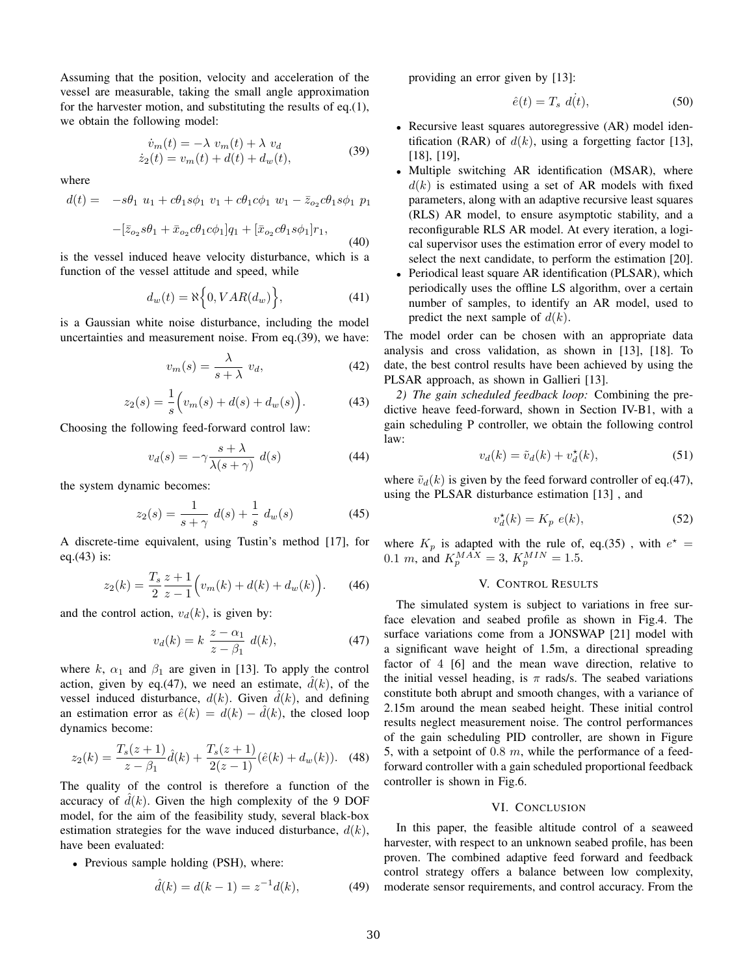Assuming that the position, velocity and acceleration of the vessel are measurable, taking the small angle approximation for the harvester motion, and substituting the results of eq.(1), we obtain the following model:

$$
\begin{aligned}\n\dot{v}_m(t) &= -\lambda \ v_m(t) + \lambda \ v_d \\
\dot{z}_2(t) &= v_m(t) + d(t) + d_w(t),\n\end{aligned} \tag{39}
$$

where

$$
d(t) = -s\theta_1 u_1 + c\theta_1 s\phi_1 v_1 + c\theta_1 c\phi_1 w_1 - \bar{z}_{o_2} c\theta_1 s\phi_1 p_1
$$

$$
-[\bar{z}_{o_2}s\theta_1 + \bar{x}_{o_2}c\theta_1 c\phi_1]q_1 + [\bar{x}_{o_2}c\theta_1 s\phi_1]r_1,
$$
\n(40)

is the vessel induced heave velocity disturbance, which is a function of the vessel attitude and speed, while

$$
d_w(t) = \aleph\Big\{0, VAR(d_w)\Big\},\tag{41}
$$

is a Gaussian white noise disturbance, including the model uncertainties and measurement noise. From eq.(39), we have:

$$
v_m(s) = \frac{\lambda}{s + \lambda} v_d,
$$
\n(42)

$$
z_2(s) = \frac{1}{s} \Big( v_m(s) + d(s) + d_w(s) \Big). \tag{43}
$$

Choosing the following feed-forward control law:

$$
v_d(s) = -\gamma \frac{s + \lambda}{\lambda(s + \gamma)} d(s)
$$
 (44)

the system dynamic becomes:

$$
z_2(s) = \frac{1}{s + \gamma} d(s) + \frac{1}{s} d_w(s)
$$
 (45)

A discrete-time equivalent, using Tustin's method [17], for eq.(43) is:

$$
z_2(k) = \frac{T_s}{2} \frac{z+1}{z-1} \Big( v_m(k) + d(k) + d_w(k) \Big). \tag{46}
$$

and the control action,  $v_d(k)$ , is given by:

$$
v_d(k) = k \frac{z - \alpha_1}{z - \beta_1} d(k), \tag{47}
$$

where k,  $\alpha_1$  and  $\beta_1$  are given in [13]. To apply the control action, given by eq.(47), we need an estimate,  $\hat{d}(k)$ , of the vessel induced disturbance,  $d(k)$ . Given  $\hat{d}(k)$ , and defining an estimation error as  $\hat{e}(k) = d(k) - \hat{d}(k)$ , the closed loop dynamics become:

$$
z_2(k) = \frac{T_s(z+1)}{z - \beta_1} \hat{d}(k) + \frac{T_s(z+1)}{2(z-1)} (\hat{e}(k) + d_w(k)). \tag{48}
$$

The quality of the control is therefore a function of the accuracy of  $\hat{d}(k)$ . Given the high complexity of the 9 DOF model, for the aim of the feasibility study, several black-box estimation strategies for the wave induced disturbance,  $d(k)$ , have been evaluated:

<sup>∙</sup> Previous sample holding (PSH), where:

$$
\hat{d}(k) = d(k-1) = z^{-1}d(k),\tag{49}
$$

providing an error given by [13]:

$$
\hat{e}(t) = T_s \, d(t),\tag{50}
$$

- <sup>∙</sup> Recursive least squares autoregressive (AR) model identification (RAR) of  $d(k)$ , using a forgetting factor [13], [18], [19],
- <sup>∙</sup> Multiple switching AR identification (MSAR), where  $d(k)$  is estimated using a set of AR models with fixed parameters, along with an adaptive recursive least squares (RLS) AR model, to ensure asymptotic stability, and a reconfigurable RLS AR model. At every iteration, a logical supervisor uses the estimation error of every model to select the next candidate, to perform the estimation [20].
- <sup>∙</sup> Periodical least square AR identification (PLSAR), which periodically uses the offline LS algorithm, over a certain number of samples, to identify an AR model, used to predict the next sample of  $d(k)$ .

The model order can be chosen with an appropriate data analysis and cross validation, as shown in [13], [18]. To date, the best control results have been achieved by using the PLSAR approach, as shown in Gallieri [13].

*2) The gain scheduled feedback loop:* Combining the predictive heave feed-forward, shown in Section IV-B1, with a gain scheduling P controller, we obtain the following control law:

$$
v_d(k) = \tilde{v}_d(k) + v_d^{\star}(k),\tag{51}
$$

where  $\tilde{v}_d(k)$  is given by the feed forward controller of eq.(47), using the PLSAR disturbance estimation [13] , and

$$
v_d^{\star}(k) = K_p \ e(k), \tag{52}
$$

where  $K_p$  is adapted with the rule of, eq.(35), with  $e^* =$ 0.1 m, and  $K_p^{MAX} = 3$ ,  $K_p^{MIN} = 1.5$ .

## V. CONTROL RESULTS

The simulated system is subject to variations in free surface elevation and seabed profile as shown in Fig.4. The surface variations come from a JONSWAP [21] model with a significant wave height of 1.5m, a directional spreading factor of 4 [6] and the mean wave direction, relative to the initial vessel heading, is  $\pi$  rads/s. The seabed variations constitute both abrupt and smooth changes, with a variance of 2.15m around the mean seabed height. These initial control results neglect measurement noise. The control performances of the gain scheduling PID controller, are shown in Figure 5, with a setpoint of  $0.8 \, m$ , while the performance of a feedforward controller with a gain scheduled proportional feedback controller is shown in Fig.6.

#### VI. CONCLUSION

In this paper, the feasible altitude control of a seaweed harvester, with respect to an unknown seabed profile, has been proven. The combined adaptive feed forward and feedback control strategy offers a balance between low complexity, moderate sensor requirements, and control accuracy. From the